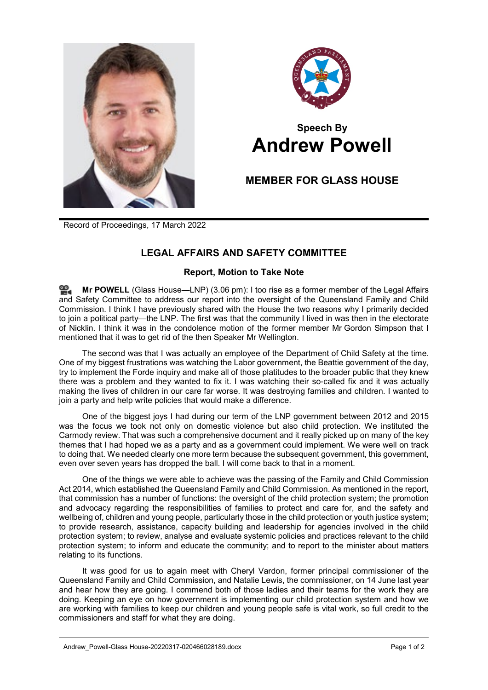



## **Speech By Andrew Powell**

## **MEMBER FOR GLASS HOUSE**

Record of Proceedings, 17 March 2022

## **LEGAL AFFAIRS AND SAFETY COMMITTEE**

## **Report, Motion to Take Note**

**Mr [POWELL](http://www.parliament.qld.gov.au/docs/find.aspx?id=0Mba20220317_150706)** (Glass House—LNP) (3.06 pm): I too rise as a former member of the Legal Affairs and Safety Committee to address our report into the oversight of the Queensland Family and Child Commission. I think I have previously shared with the House the two reasons why I primarily decided to join a political party—the LNP. The first was that the community I lived in was then in the electorate of Nicklin. I think it was in the condolence motion of the former member Mr Gordon Simpson that I mentioned that it was to get rid of the then Speaker Mr Wellington.

The second was that I was actually an employee of the Department of Child Safety at the time. One of my biggest frustrations was watching the Labor government, the Beattie government of the day, try to implement the Forde inquiry and make all of those platitudes to the broader public that they knew there was a problem and they wanted to fix it. I was watching their so-called fix and it was actually making the lives of children in our care far worse. It was destroying families and children. I wanted to join a party and help write policies that would make a difference.

One of the biggest joys I had during our term of the LNP government between 2012 and 2015 was the focus we took not only on domestic violence but also child protection. We instituted the Carmody review. That was such a comprehensive document and it really picked up on many of the key themes that I had hoped we as a party and as a government could implement. We were well on track to doing that. We needed clearly one more term because the subsequent government, this government, even over seven years has dropped the ball. I will come back to that in a moment.

One of the things we were able to achieve was the passing of the Family and Child Commission Act 2014, which established the Queensland Family and Child Commission. As mentioned in the report, that commission has a number of functions: the oversight of the child protection system; the promotion and advocacy regarding the responsibilities of families to protect and care for, and the safety and wellbeing of, children and young people, particularly those in the child protection or youth justice system; to provide research, assistance, capacity building and leadership for agencies involved in the child protection system; to review, analyse and evaluate systemic policies and practices relevant to the child protection system; to inform and educate the community; and to report to the minister about matters relating to its functions.

It was good for us to again meet with Cheryl Vardon, former principal commissioner of the Queensland Family and Child Commission, and Natalie Lewis, the commissioner, on 14 June last year and hear how they are going. I commend both of those ladies and their teams for the work they are doing. Keeping an eye on how government is implementing our child protection system and how we are working with families to keep our children and young people safe is vital work, so full credit to the commissioners and staff for what they are doing.